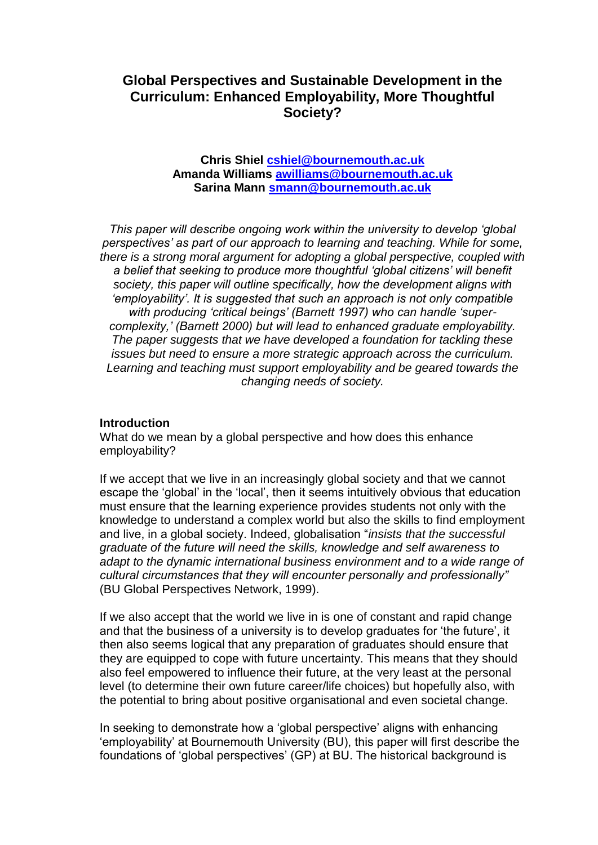# **Global Perspectives and Sustainable Development in the Curriculum: Enhanced Employability, More Thoughtful Society?**

### **Chris Shiel [cshiel@bournemouth.ac.uk](mailto:cshiel@bournemouth.ac.uk) Amanda Williams [awilliams@bournemouth.ac.uk](mailto:awilliam@bournemouth.ac.uk) Sarina Mann [smann@bournemouth.ac.uk](mailto:smann@bournemouth.ac.uk)**

*This paper will describe ongoing work within the university to develop 'global perspectives' as part of our approach to learning and teaching. While for some, there is a strong moral argument for adopting a global perspective, coupled with a belief that seeking to produce more thoughtful 'global citizens' will benefit society, this paper will outline specifically, how the development aligns with 'employability'. It is suggested that such an approach is not only compatible with producing 'critical beings' (Barnett 1997) who can handle 'supercomplexity,' (Barnett 2000) but will lead to enhanced graduate employability. The paper suggests that we have developed a foundation for tackling these issues but need to ensure a more strategic approach across the curriculum. Learning and teaching must support employability and be geared towards the changing needs of society.*

#### **Introduction**

What do we mean by a global perspective and how does this enhance employability?

If we accept that we live in an increasingly global society and that we cannot escape the 'global' in the 'local', then it seems intuitively obvious that education must ensure that the learning experience provides students not only with the knowledge to understand a complex world but also the skills to find employment and live, in a global society. Indeed, globalisation "*insists that the successful graduate of the future will need the skills, knowledge and self awareness to adapt to the dynamic international business environment and to a wide range of cultural circumstances that they will encounter personally and professionally"* (BU Global Perspectives Network, 1999).

If we also accept that the world we live in is one of constant and rapid change and that the business of a university is to develop graduates for 'the future', it then also seems logical that any preparation of graduates should ensure that they are equipped to cope with future uncertainty. This means that they should also feel empowered to influence their future, at the very least at the personal level (to determine their own future career/life choices) but hopefully also, with the potential to bring about positive organisational and even societal change.

In seeking to demonstrate how a 'global perspective' aligns with enhancing 'employability' at Bournemouth University (BU), this paper will first describe the foundations of 'global perspectives' (GP) at BU. The historical background is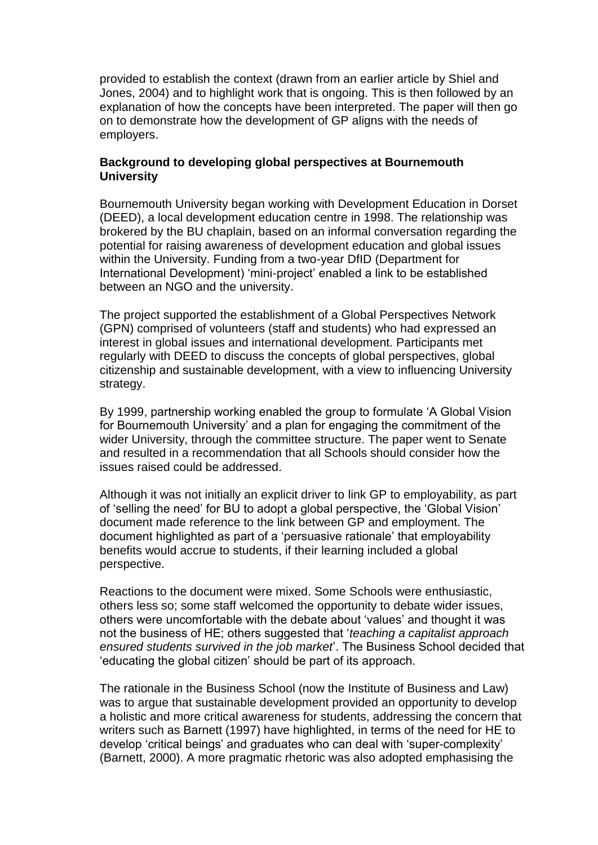provided to establish the context (drawn from an earlier article by Shiel and Jones, 2004) and to highlight work that is ongoing. This is then followed by an explanation of how the concepts have been interpreted. The paper will then go on to demonstrate how the development of GP aligns with the needs of employers.

## **Background to developing global perspectives at Bournemouth University**

Bournemouth University began working with Development Education in Dorset (DEED), a local development education centre in 1998. The relationship was brokered by the BU chaplain, based on an informal conversation regarding the potential for raising awareness of development education and global issues within the University. Funding from a two-year DfID (Department for International Development) 'mini-project' enabled a link to be established between an NGO and the university.

The project supported the establishment of a Global Perspectives Network (GPN) comprised of volunteers (staff and students) who had expressed an interest in global issues and international development. Participants met regularly with DEED to discuss the concepts of global perspectives, global citizenship and sustainable development, with a view to influencing University strategy.

By 1999, partnership working enabled the group to formulate 'A Global Vision for Bournemouth University' and a plan for engaging the commitment of the wider University, through the committee structure. The paper went to Senate and resulted in a recommendation that all Schools should consider how the issues raised could be addressed.

Although it was not initially an explicit driver to link GP to employability, as part of 'selling the need' for BU to adopt a global perspective, the 'Global Vision' document made reference to the link between GP and employment. The document highlighted as part of a 'persuasive rationale' that employability benefits would accrue to students, if their learning included a global perspective.

Reactions to the document were mixed. Some Schools were enthusiastic, others less so; some staff welcomed the opportunity to debate wider issues, others were uncomfortable with the debate about 'values' and thought it was not the business of HE; others suggested that '*teaching a capitalist approach ensured students survived in the job market*'. The Business School decided that 'educating the global citizen' should be part of its approach.

The rationale in the Business School (now the Institute of Business and Law) was to argue that sustainable development provided an opportunity to develop a holistic and more critical awareness for students, addressing the concern that writers such as Barnett (1997) have highlighted, in terms of the need for HE to develop 'critical beings' and graduates who can deal with 'super-complexity' (Barnett, 2000). A more pragmatic rhetoric was also adopted emphasising the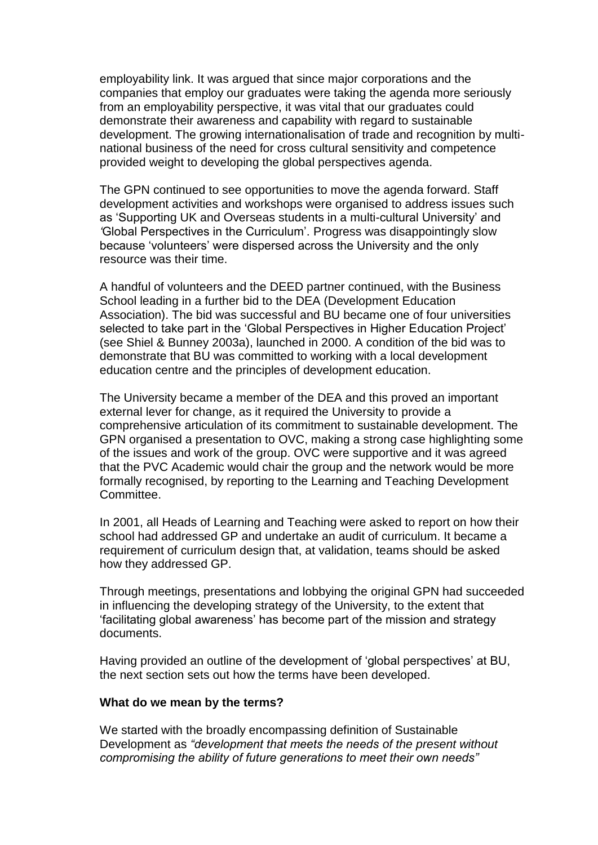employability link. It was argued that since major corporations and the companies that employ our graduates were taking the agenda more seriously from an employability perspective, it was vital that our graduates could demonstrate their awareness and capability with regard to sustainable development. The growing internationalisation of trade and recognition by multinational business of the need for cross cultural sensitivity and competence provided weight to developing the global perspectives agenda.

The GPN continued to see opportunities to move the agenda forward. Staff development activities and workshops were organised to address issues such as 'Supporting UK and Overseas students in a multi-cultural University' and *'*Global Perspectives in the Curriculum'. Progress was disappointingly slow because 'volunteers' were dispersed across the University and the only resource was their time.

A handful of volunteers and the DEED partner continued, with the Business School leading in a further bid to the DEA (Development Education Association). The bid was successful and BU became one of four universities selected to take part in the 'Global Perspectives in Higher Education Project' (see Shiel & Bunney 2003a), launched in 2000. A condition of the bid was to demonstrate that BU was committed to working with a local development education centre and the principles of development education.

The University became a member of the DEA and this proved an important external lever for change, as it required the University to provide a comprehensive articulation of its commitment to sustainable development. The GPN organised a presentation to OVC, making a strong case highlighting some of the issues and work of the group. OVC were supportive and it was agreed that the PVC Academic would chair the group and the network would be more formally recognised, by reporting to the Learning and Teaching Development Committee.

In 2001, all Heads of Learning and Teaching were asked to report on how their school had addressed GP and undertake an audit of curriculum. It became a requirement of curriculum design that, at validation, teams should be asked how they addressed GP.

Through meetings, presentations and lobbying the original GPN had succeeded in influencing the developing strategy of the University, to the extent that 'facilitating global awareness' has become part of the mission and strategy documents.

Having provided an outline of the development of 'global perspectives' at BU, the next section sets out how the terms have been developed.

#### **What do we mean by the terms?**

We started with the broadly encompassing definition of Sustainable Development as *"development that meets the needs of the present without compromising the ability of future generations to meet their own needs"*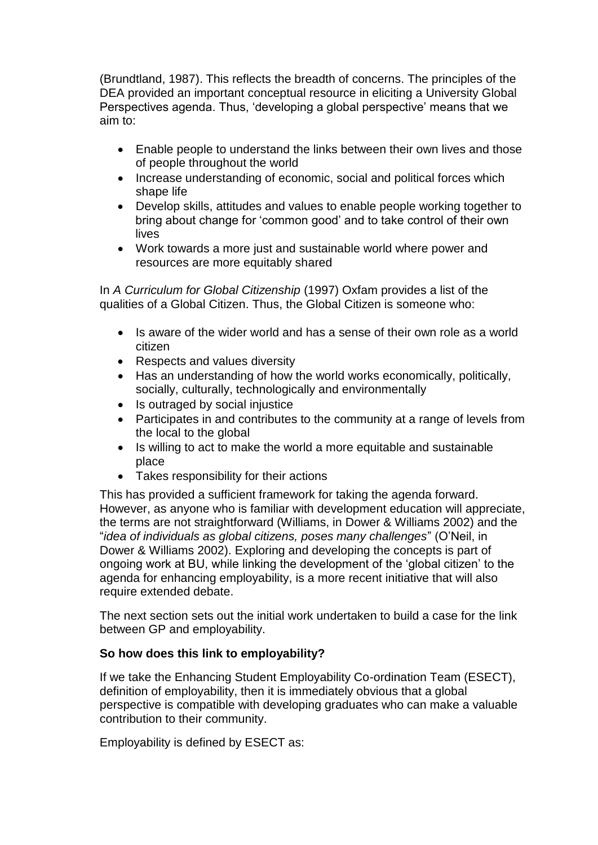(Brundtland, 1987). This reflects the breadth of concerns. The principles of the DEA provided an important conceptual resource in eliciting a University Global Perspectives agenda. Thus, 'developing a global perspective' means that we aim to:

- Enable people to understand the links between their own lives and those of people throughout the world
- Increase understanding of economic, social and political forces which shape life
- Develop skills, attitudes and values to enable people working together to bring about change for 'common good' and to take control of their own lives
- Work towards a more just and sustainable world where power and resources are more equitably shared

In *A Curriculum for Global Citizenship* (1997) Oxfam provides a list of the qualities of a Global Citizen. Thus, the Global Citizen is someone who:

- Is aware of the wider world and has a sense of their own role as a world citizen
- Respects and values diversity
- Has an understanding of how the world works economically, politically, socially, culturally, technologically and environmentally
- Is outraged by social injustice
- Participates in and contributes to the community at a range of levels from the local to the global
- Is willing to act to make the world a more equitable and sustainable place
- Takes responsibility for their actions

This has provided a sufficient framework for taking the agenda forward. However, as anyone who is familiar with development education will appreciate, the terms are not straightforward (Williams, in Dower & Williams 2002) and the "*idea of individuals as global citizens, poses many challenges*" (O'Neil, in Dower & Williams 2002). Exploring and developing the concepts is part of ongoing work at BU, while linking the development of the 'global citizen' to the agenda for enhancing employability, is a more recent initiative that will also require extended debate.

The next section sets out the initial work undertaken to build a case for the link between GP and employability.

## **So how does this link to employability?**

If we take the Enhancing Student Employability Co-ordination Team (ESECT), definition of employability, then it is immediately obvious that a global perspective is compatible with developing graduates who can make a valuable contribution to their community.

Employability is defined by ESECT as: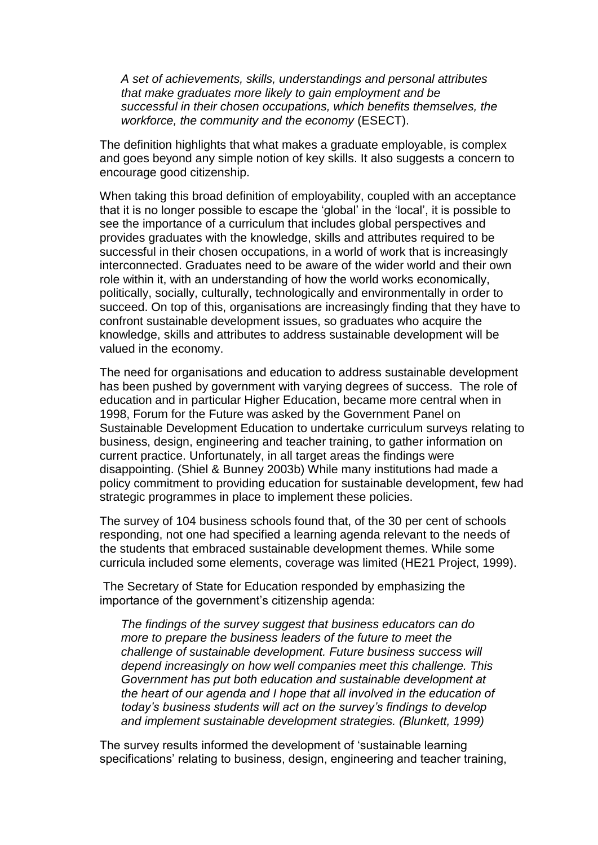*A set of achievements, skills, understandings and personal attributes that make graduates more likely to gain employment and be successful in their chosen occupations, which benefits themselves, the workforce, the community and the economy* (ESECT).

The definition highlights that what makes a graduate employable, is complex and goes beyond any simple notion of key skills. It also suggests a concern to encourage good citizenship.

When taking this broad definition of employability, coupled with an acceptance that it is no longer possible to escape the 'global' in the 'local', it is possible to see the importance of a curriculum that includes global perspectives and provides graduates with the knowledge, skills and attributes required to be successful in their chosen occupations, in a world of work that is increasingly interconnected. Graduates need to be aware of the wider world and their own role within it, with an understanding of how the world works economically, politically, socially, culturally, technologically and environmentally in order to succeed. On top of this, organisations are increasingly finding that they have to confront sustainable development issues, so graduates who acquire the knowledge, skills and attributes to address sustainable development will be valued in the economy.

The need for organisations and education to address sustainable development has been pushed by government with varying degrees of success. The role of education and in particular Higher Education, became more central when in 1998, Forum for the Future was asked by the Government Panel on Sustainable Development Education to undertake curriculum surveys relating to business, design, engineering and teacher training, to gather information on current practice. Unfortunately, in all target areas the findings were disappointing. (Shiel & Bunney 2003b) While many institutions had made a policy commitment to providing education for sustainable development, few had strategic programmes in place to implement these policies.

The survey of 104 business schools found that, of the 30 per cent of schools responding, not one had specified a learning agenda relevant to the needs of the students that embraced sustainable development themes. While some curricula included some elements, coverage was limited (HE21 Project, 1999).

The Secretary of State for Education responded by emphasizing the importance of the government's citizenship agenda:

*The findings of the survey suggest that business educators can do more to prepare the business leaders of the future to meet the challenge of sustainable development. Future business success will depend increasingly on how well companies meet this challenge. This Government has put both education and sustainable development at the heart of our agenda and I hope that all involved in the education of today's business students will act on the survey's findings to develop and implement sustainable development strategies. (Blunkett, 1999)*

The survey results informed the development of 'sustainable learning specifications' relating to business, design, engineering and teacher training,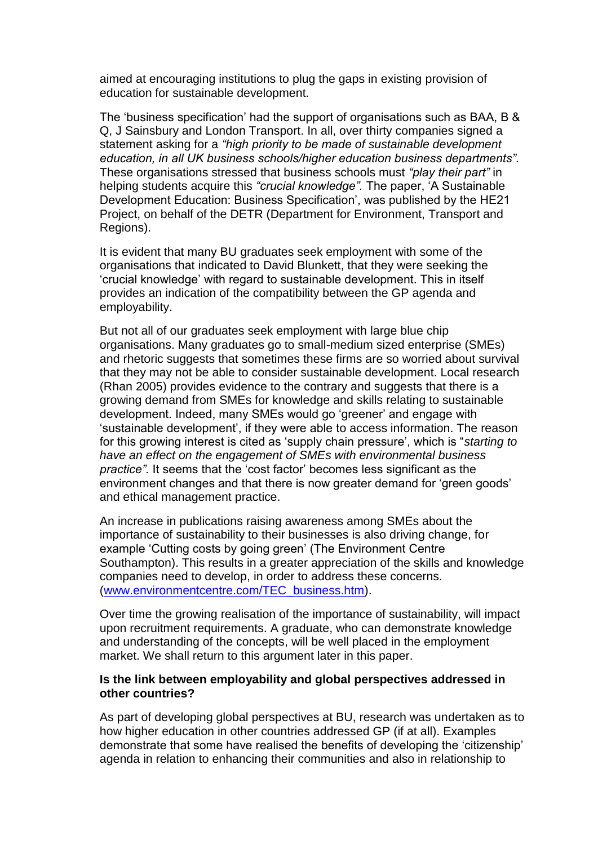aimed at encouraging institutions to plug the gaps in existing provision of education for sustainable development.

The 'business specification' had the support of organisations such as BAA, B & Q, J Sainsbury and London Transport. In all, over thirty companies signed a statement asking for a *"high priority to be made of sustainable development education, in all UK business schools/higher education business departments".* These organisations stressed that business schools must *"play their part"* in helping students acquire this *"crucial knowledge".* The paper, 'A Sustainable Development Education: Business Specification', was published by the HE21 Project, on behalf of the DETR (Department for Environment, Transport and Regions).

It is evident that many BU graduates seek employment with some of the organisations that indicated to David Blunkett, that they were seeking the 'crucial knowledge' with regard to sustainable development. This in itself provides an indication of the compatibility between the GP agenda and employability.

But not all of our graduates seek employment with large blue chip organisations. Many graduates go to small-medium sized enterprise (SMEs) and rhetoric suggests that sometimes these firms are so worried about survival that they may not be able to consider sustainable development. Local research (Rhan 2005) provides evidence to the contrary and suggests that there is a growing demand from SMEs for knowledge and skills relating to sustainable development. Indeed, many SMEs would go 'greener' and engage with 'sustainable development', if they were able to access information. The reason for this growing interest is cited as 'supply chain pressure', which is "*starting to have an effect on the engagement of SMEs with environmental business practice".* It seems that the 'cost factor' becomes less significant as the environment changes and that there is now greater demand for 'green goods' and ethical management practice.

An increase in publications raising awareness among SMEs about the importance of sustainability to their businesses is also driving change, for example 'Cutting costs by going green' (The Environment Centre Southampton). This results in a greater appreciation of the skills and knowledge companies need to develop, in order to address these concerns. [\(www.environmentcentre.com/TEC\\_business.htm\)](http://www.environmentcentre.com/TEC_business.htm).

Over time the growing realisation of the importance of sustainability, will impact upon recruitment requirements. A graduate, who can demonstrate knowledge and understanding of the concepts, will be well placed in the employment market. We shall return to this argument later in this paper.

### **Is the link between employability and global perspectives addressed in other countries?**

As part of developing global perspectives at BU, research was undertaken as to how higher education in other countries addressed GP (if at all). Examples demonstrate that some have realised the benefits of developing the 'citizenship' agenda in relation to enhancing their communities and also in relationship to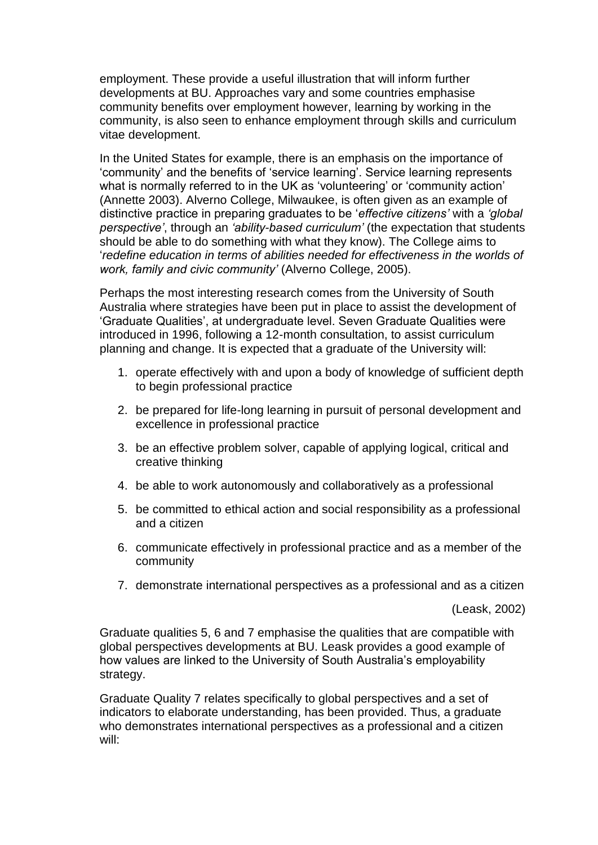employment. These provide a useful illustration that will inform further developments at BU. Approaches vary and some countries emphasise community benefits over employment however, learning by working in the community, is also seen to enhance employment through skills and curriculum vitae development.

In the United States for example, there is an emphasis on the importance of 'community' and the benefits of 'service learning'. Service learning represents what is normally referred to in the UK as 'volunteering' or 'community action' (Annette 2003). Alverno College, Milwaukee, is often given as an example of distinctive practice in preparing graduates to be '*effective citizens'* with a *'global perspective'*, through an *'ability-based curriculum'* (the expectation that students should be able to do something with what they know). The College aims to '*redefine education in terms of abilities needed for effectiveness in the worlds of work, family and civic community'* (Alverno College, 2005).

Perhaps the most interesting research comes from the University of South Australia where strategies have been put in place to assist the development of 'Graduate Qualities', at undergraduate level. Seven Graduate Qualities were introduced in 1996, following a 12-month consultation, to assist curriculum planning and change. It is expected that a graduate of the University will:

- 1. operate effectively with and upon a body of knowledge of sufficient depth to begin professional practice
- 2. be prepared for life-long learning in pursuit of personal development and excellence in professional practice
- 3. be an effective problem solver, capable of applying logical, critical and creative thinking
- 4. be able to work autonomously and collaboratively as a professional
- 5. be committed to ethical action and social responsibility as a professional and a citizen
- 6. communicate effectively in professional practice and as a member of the community
- 7. demonstrate international perspectives as a professional and as a citizen

(Leask, 2002)

Graduate qualities 5, 6 and 7 emphasise the qualities that are compatible with global perspectives developments at BU. Leask provides a good example of how values are linked to the University of South Australia's employability strategy.

Graduate Quality 7 relates specifically to global perspectives and a set of indicators to elaborate understanding, has been provided. Thus, a graduate who demonstrates international perspectives as a professional and a citizen will: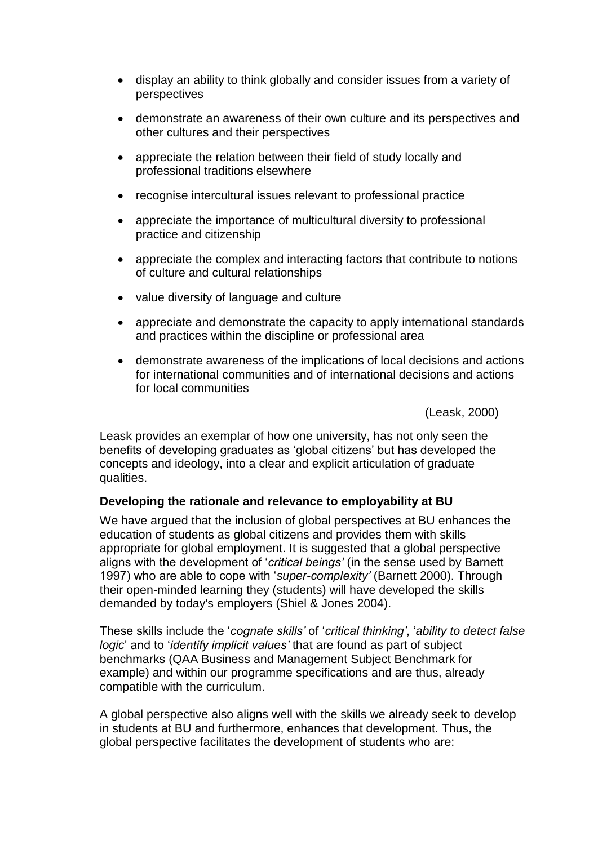- display an ability to think globally and consider issues from a variety of perspectives
- demonstrate an awareness of their own culture and its perspectives and other cultures and their perspectives
- appreciate the relation between their field of study locally and professional traditions elsewhere
- recognise intercultural issues relevant to professional practice
- appreciate the importance of multicultural diversity to professional practice and citizenship
- appreciate the complex and interacting factors that contribute to notions of culture and cultural relationships
- value diversity of language and culture
- appreciate and demonstrate the capacity to apply international standards and practices within the discipline or professional area
- demonstrate awareness of the implications of local decisions and actions for international communities and of international decisions and actions for local communities

(Leask, 2000)

Leask provides an exemplar of how one university, has not only seen the benefits of developing graduates as 'global citizens' but has developed the concepts and ideology, into a clear and explicit articulation of graduate qualities.

## **Developing the rationale and relevance to employability at BU**

We have argued that the inclusion of global perspectives at BU enhances the education of students as global citizens and provides them with skills appropriate for global employment. It is suggested that a global perspective aligns with the development of '*critical beings'* (in the sense used by Barnett 1997) who are able to cope with '*super-complexity'* (Barnett 2000). Through their open-minded learning they (students) will have developed the skills demanded by today's employers (Shiel & Jones 2004).

These skills include the '*cognate skills'* of '*critical thinking'*, '*ability to detect false logic*' and to '*identify implicit values'* that are found as part of subject benchmarks (QAA Business and Management Subject Benchmark for example) and within our programme specifications and are thus, already compatible with the curriculum.

A global perspective also aligns well with the skills we already seek to develop in students at BU and furthermore, enhances that development. Thus, the global perspective facilitates the development of students who are: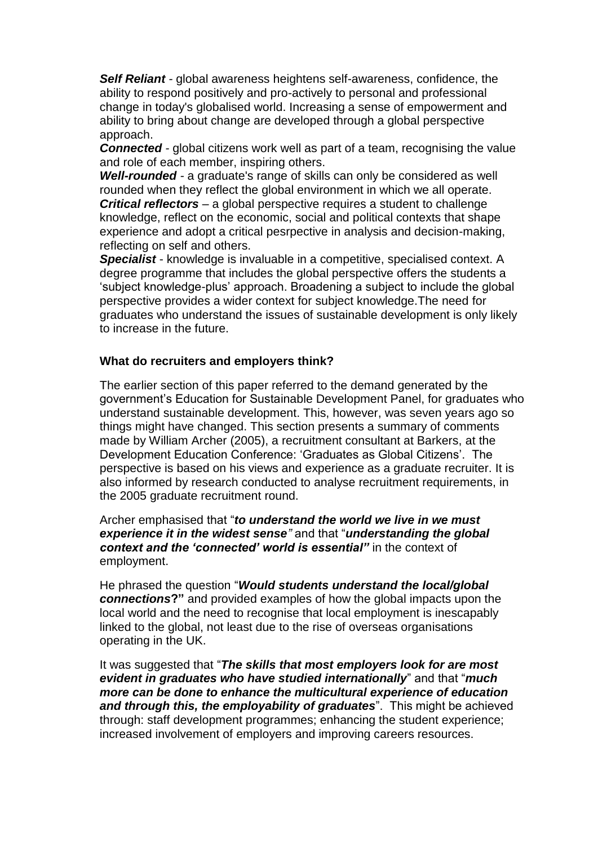*Self Reliant -* global awareness heightens self-awareness, confidence, the ability to respond positively and pro-actively to personal and professional change in today's globalised world. Increasing a sense of empowerment and ability to bring about change are developed through a global perspective approach.

**Connected** - global citizens work well as part of a team, recognising the value and role of each member, inspiring others.

*Well-rounded -* a graduate's range of skills can only be considered as well rounded when they reflect the global environment in which we all operate. *Critical reflectors* – a global perspective requires a student to challenge knowledge, reflect on the economic, social and political contexts that shape experience and adopt a critical pesrpective in analysis and decision-making, reflecting on self and others.

*Specialist* - knowledge is invaluable in a competitive, specialised context. A degree programme that includes the global perspective offers the students a 'subject knowledge-plus' approach. Broadening a subject to include the global perspective provides a wider context for subject knowledge.The need for graduates who understand the issues of sustainable development is only likely to increase in the future.

## **What do recruiters and employers think?**

The earlier section of this paper referred to the demand generated by the government's Education for Sustainable Development Panel, for graduates who understand sustainable development. This, however, was seven years ago so things might have changed. This section presents a summary of comments made by William Archer (2005), a recruitment consultant at Barkers, at the Development Education Conference: 'Graduates as Global Citizens'. The perspective is based on his views and experience as a graduate recruiter. It is also informed by research conducted to analyse recruitment requirements, in the 2005 graduate recruitment round.

Archer emphasised that "*to understand the world we live in we must experience it in the widest sense"* and that "*understanding the global context and the 'connected' world is essential"* in the context of employment.

He phrased the question "*Would students understand the local/global connections***?"** and provided examples of how the global impacts upon the local world and the need to recognise that local employment is inescapably linked to the global, not least due to the rise of overseas organisations operating in the UK.

It was suggested that "*The skills that most employers look for are most evident in graduates who have studied internationally*" and that "*much more can be done to enhance the multicultural experience of education and through this, the employability of graduates*". This might be achieved through: staff development programmes; enhancing the student experience; increased involvement of employers and improving careers resources.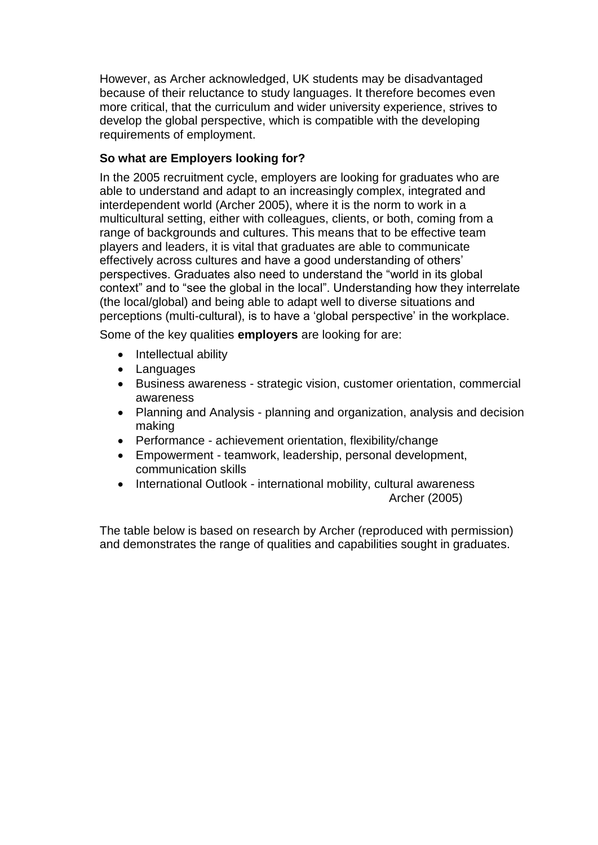However, as Archer acknowledged, UK students may be disadvantaged because of their reluctance to study languages. It therefore becomes even more critical, that the curriculum and wider university experience, strives to develop the global perspective, which is compatible with the developing requirements of employment.

# **So what are Employers looking for?**

In the 2005 recruitment cycle, employers are looking for graduates who are able to understand and adapt to an increasingly complex, integrated and interdependent world (Archer 2005), where it is the norm to work in a multicultural setting, either with colleagues, clients, or both, coming from a range of backgrounds and cultures. This means that to be effective team players and leaders, it is vital that graduates are able to communicate effectively across cultures and have a good understanding of others' perspectives. Graduates also need to understand the "world in its global context" and to "see the global in the local". Understanding how they interrelate (the local/global) and being able to adapt well to diverse situations and perceptions (multi-cultural), is to have a 'global perspective' in the workplace.

Some of the key qualities **employers** are looking for are:

- Intellectual ability
- Languages
- Business awareness strategic vision, customer orientation, commercial awareness
- Planning and Analysis planning and organization, analysis and decision making
- Performance achievement orientation, flexibility/change
- Empowerment teamwork, leadership, personal development, communication skills
- International Outlook international mobility, cultural awareness Archer (2005)

The table below is based on research by Archer (reproduced with permission) and demonstrates the range of qualities and capabilities sought in graduates.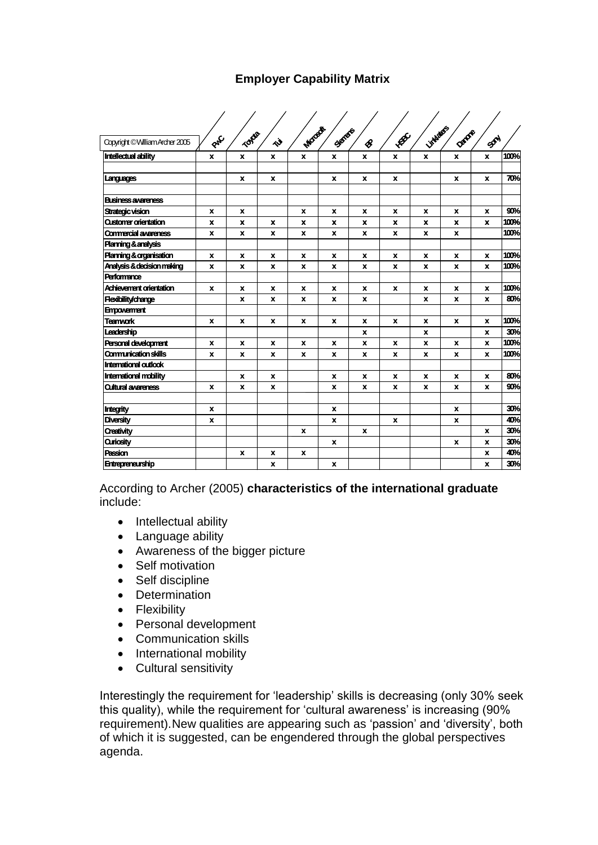# **Employer Capability Matrix Employer Capability Matrix**

| <b>Linkides</b><br>Morest<br>Senato<br>DADR<br>TONO<br>$\mathcal{A}$<br>PAC<br>SON<br>べ<br>Copyright © William Archer 2005<br>$\mathcal{E}$<br><b>Intellectual ability</b><br>$\mathbf{x}$<br>$\mathbf{x}$<br>$\mathbf{x}$<br>$\mathbf{x}$<br>$\mathbf{x}$<br>X<br>X<br>x<br>X<br>x<br>x<br>x<br>x<br>x<br>x<br>x<br>x<br>Languages<br><b>Business awareness</b><br>Strategic vision<br>X<br>x<br>$\mathbf{x}$<br>x<br>x<br>X<br>x<br>X<br>x<br><b>Qustomer orientation</b><br>$\mathbf{x}$<br>x<br>X<br>x<br>x<br>x<br>x<br>x<br>x<br>x<br><b>Commercial awareness</b><br>$\mathbf{x}$<br>$\mathbf{x}$<br>$\mathbf{x}$<br>$\mathbf{x}$<br>x<br>x<br>x<br>x<br>x<br><b>Planning &amp; analysis</b><br><b>Planning &amp; organisation</b><br>x<br>x<br>x<br>x<br>x<br>x<br>x<br>x<br>x<br>x<br>Analysis & decision making<br>X<br>x<br>$\mathbf{x}$<br>x<br>X<br><b>X</b><br>X<br>x<br>x<br>x<br><b>Performance</b><br>Achievement orientation<br>x<br>$\mathbf{x}$<br>$\mathbf{x}$<br>x<br>X<br>x<br>X<br>X<br>x<br>x<br><b>Redbility/change</b><br>X<br>x<br>X<br>x<br>x<br>x<br>x<br>x<br><b>Empowerment</b><br><b>Teamvork</b><br>X<br>x<br>x<br>X<br>x<br>x<br>x<br>x<br>$\mathbf{x}$<br>x<br>Leadership<br>x<br>X<br>X<br><b>Personal development</b><br>$\mathbf{x}$<br>X<br>x<br>x<br>x<br>x<br>x<br>x<br>x<br>x<br><b>Communication skills</b><br>$\mathbf{x}$<br>x<br>$\mathbf{x}$<br>x<br>$\mathbf{x}$<br>$\mathbf{x}$<br>x<br>x<br>x<br>$\mathbf{x}$<br><b>International outlook</b><br><b>International mobility</b><br>x<br>x<br>x<br>x<br>x<br>x<br>x<br>x<br><b>Outural awareness</b><br>$\mathbf{x}$<br>x<br>X<br>x<br>$\mathbf{x}$<br>x<br>x<br>x<br>x<br><b>Integrity</b><br>$\mathbf x$<br>x<br>x<br>Diversity<br>$\pmb{\chi}$<br>$\pmb{\mathsf{x}}$<br>x<br>x<br><b>Oreativity</b><br>$\mathbf{x}$<br>$\mathbf{x}$<br>$\mathbf{x}$<br><b>Quriosity</b><br>x<br>x<br>$\mathbf{x}$<br>Passion<br>x<br>x<br>x<br>x |                         |  |  |              |  |  |             |
|-------------------------------------------------------------------------------------------------------------------------------------------------------------------------------------------------------------------------------------------------------------------------------------------------------------------------------------------------------------------------------------------------------------------------------------------------------------------------------------------------------------------------------------------------------------------------------------------------------------------------------------------------------------------------------------------------------------------------------------------------------------------------------------------------------------------------------------------------------------------------------------------------------------------------------------------------------------------------------------------------------------------------------------------------------------------------------------------------------------------------------------------------------------------------------------------------------------------------------------------------------------------------------------------------------------------------------------------------------------------------------------------------------------------------------------------------------------------------------------------------------------------------------------------------------------------------------------------------------------------------------------------------------------------------------------------------------------------------------------------------------------------------------------------------------------------------------------------------------------------------------------------------------------------------------------|-------------------------|--|--|--------------|--|--|-------------|
|                                                                                                                                                                                                                                                                                                                                                                                                                                                                                                                                                                                                                                                                                                                                                                                                                                                                                                                                                                                                                                                                                                                                                                                                                                                                                                                                                                                                                                                                                                                                                                                                                                                                                                                                                                                                                                                                                                                                     |                         |  |  |              |  |  |             |
|                                                                                                                                                                                                                                                                                                                                                                                                                                                                                                                                                                                                                                                                                                                                                                                                                                                                                                                                                                                                                                                                                                                                                                                                                                                                                                                                                                                                                                                                                                                                                                                                                                                                                                                                                                                                                                                                                                                                     |                         |  |  |              |  |  |             |
|                                                                                                                                                                                                                                                                                                                                                                                                                                                                                                                                                                                                                                                                                                                                                                                                                                                                                                                                                                                                                                                                                                                                                                                                                                                                                                                                                                                                                                                                                                                                                                                                                                                                                                                                                                                                                                                                                                                                     |                         |  |  |              |  |  | 100%        |
|                                                                                                                                                                                                                                                                                                                                                                                                                                                                                                                                                                                                                                                                                                                                                                                                                                                                                                                                                                                                                                                                                                                                                                                                                                                                                                                                                                                                                                                                                                                                                                                                                                                                                                                                                                                                                                                                                                                                     |                         |  |  |              |  |  | 70%         |
|                                                                                                                                                                                                                                                                                                                                                                                                                                                                                                                                                                                                                                                                                                                                                                                                                                                                                                                                                                                                                                                                                                                                                                                                                                                                                                                                                                                                                                                                                                                                                                                                                                                                                                                                                                                                                                                                                                                                     |                         |  |  |              |  |  |             |
|                                                                                                                                                                                                                                                                                                                                                                                                                                                                                                                                                                                                                                                                                                                                                                                                                                                                                                                                                                                                                                                                                                                                                                                                                                                                                                                                                                                                                                                                                                                                                                                                                                                                                                                                                                                                                                                                                                                                     |                         |  |  |              |  |  | 90%         |
|                                                                                                                                                                                                                                                                                                                                                                                                                                                                                                                                                                                                                                                                                                                                                                                                                                                                                                                                                                                                                                                                                                                                                                                                                                                                                                                                                                                                                                                                                                                                                                                                                                                                                                                                                                                                                                                                                                                                     |                         |  |  |              |  |  | 100%        |
|                                                                                                                                                                                                                                                                                                                                                                                                                                                                                                                                                                                                                                                                                                                                                                                                                                                                                                                                                                                                                                                                                                                                                                                                                                                                                                                                                                                                                                                                                                                                                                                                                                                                                                                                                                                                                                                                                                                                     |                         |  |  |              |  |  | 100%        |
|                                                                                                                                                                                                                                                                                                                                                                                                                                                                                                                                                                                                                                                                                                                                                                                                                                                                                                                                                                                                                                                                                                                                                                                                                                                                                                                                                                                                                                                                                                                                                                                                                                                                                                                                                                                                                                                                                                                                     |                         |  |  |              |  |  |             |
|                                                                                                                                                                                                                                                                                                                                                                                                                                                                                                                                                                                                                                                                                                                                                                                                                                                                                                                                                                                                                                                                                                                                                                                                                                                                                                                                                                                                                                                                                                                                                                                                                                                                                                                                                                                                                                                                                                                                     |                         |  |  |              |  |  | 100%        |
|                                                                                                                                                                                                                                                                                                                                                                                                                                                                                                                                                                                                                                                                                                                                                                                                                                                                                                                                                                                                                                                                                                                                                                                                                                                                                                                                                                                                                                                                                                                                                                                                                                                                                                                                                                                                                                                                                                                                     |                         |  |  |              |  |  | 100%        |
|                                                                                                                                                                                                                                                                                                                                                                                                                                                                                                                                                                                                                                                                                                                                                                                                                                                                                                                                                                                                                                                                                                                                                                                                                                                                                                                                                                                                                                                                                                                                                                                                                                                                                                                                                                                                                                                                                                                                     |                         |  |  |              |  |  |             |
|                                                                                                                                                                                                                                                                                                                                                                                                                                                                                                                                                                                                                                                                                                                                                                                                                                                                                                                                                                                                                                                                                                                                                                                                                                                                                                                                                                                                                                                                                                                                                                                                                                                                                                                                                                                                                                                                                                                                     |                         |  |  |              |  |  | <b>100%</b> |
|                                                                                                                                                                                                                                                                                                                                                                                                                                                                                                                                                                                                                                                                                                                                                                                                                                                                                                                                                                                                                                                                                                                                                                                                                                                                                                                                                                                                                                                                                                                                                                                                                                                                                                                                                                                                                                                                                                                                     |                         |  |  |              |  |  | 80%         |
|                                                                                                                                                                                                                                                                                                                                                                                                                                                                                                                                                                                                                                                                                                                                                                                                                                                                                                                                                                                                                                                                                                                                                                                                                                                                                                                                                                                                                                                                                                                                                                                                                                                                                                                                                                                                                                                                                                                                     |                         |  |  |              |  |  |             |
|                                                                                                                                                                                                                                                                                                                                                                                                                                                                                                                                                                                                                                                                                                                                                                                                                                                                                                                                                                                                                                                                                                                                                                                                                                                                                                                                                                                                                                                                                                                                                                                                                                                                                                                                                                                                                                                                                                                                     |                         |  |  |              |  |  | 100%        |
|                                                                                                                                                                                                                                                                                                                                                                                                                                                                                                                                                                                                                                                                                                                                                                                                                                                                                                                                                                                                                                                                                                                                                                                                                                                                                                                                                                                                                                                                                                                                                                                                                                                                                                                                                                                                                                                                                                                                     |                         |  |  |              |  |  | 30%         |
|                                                                                                                                                                                                                                                                                                                                                                                                                                                                                                                                                                                                                                                                                                                                                                                                                                                                                                                                                                                                                                                                                                                                                                                                                                                                                                                                                                                                                                                                                                                                                                                                                                                                                                                                                                                                                                                                                                                                     |                         |  |  |              |  |  | 100%        |
|                                                                                                                                                                                                                                                                                                                                                                                                                                                                                                                                                                                                                                                                                                                                                                                                                                                                                                                                                                                                                                                                                                                                                                                                                                                                                                                                                                                                                                                                                                                                                                                                                                                                                                                                                                                                                                                                                                                                     |                         |  |  |              |  |  | 100%        |
|                                                                                                                                                                                                                                                                                                                                                                                                                                                                                                                                                                                                                                                                                                                                                                                                                                                                                                                                                                                                                                                                                                                                                                                                                                                                                                                                                                                                                                                                                                                                                                                                                                                                                                                                                                                                                                                                                                                                     |                         |  |  |              |  |  |             |
|                                                                                                                                                                                                                                                                                                                                                                                                                                                                                                                                                                                                                                                                                                                                                                                                                                                                                                                                                                                                                                                                                                                                                                                                                                                                                                                                                                                                                                                                                                                                                                                                                                                                                                                                                                                                                                                                                                                                     |                         |  |  |              |  |  | 80%         |
|                                                                                                                                                                                                                                                                                                                                                                                                                                                                                                                                                                                                                                                                                                                                                                                                                                                                                                                                                                                                                                                                                                                                                                                                                                                                                                                                                                                                                                                                                                                                                                                                                                                                                                                                                                                                                                                                                                                                     |                         |  |  |              |  |  | 90%         |
|                                                                                                                                                                                                                                                                                                                                                                                                                                                                                                                                                                                                                                                                                                                                                                                                                                                                                                                                                                                                                                                                                                                                                                                                                                                                                                                                                                                                                                                                                                                                                                                                                                                                                                                                                                                                                                                                                                                                     |                         |  |  |              |  |  | 30%         |
|                                                                                                                                                                                                                                                                                                                                                                                                                                                                                                                                                                                                                                                                                                                                                                                                                                                                                                                                                                                                                                                                                                                                                                                                                                                                                                                                                                                                                                                                                                                                                                                                                                                                                                                                                                                                                                                                                                                                     |                         |  |  |              |  |  | 40%         |
|                                                                                                                                                                                                                                                                                                                                                                                                                                                                                                                                                                                                                                                                                                                                                                                                                                                                                                                                                                                                                                                                                                                                                                                                                                                                                                                                                                                                                                                                                                                                                                                                                                                                                                                                                                                                                                                                                                                                     |                         |  |  |              |  |  | 30%         |
|                                                                                                                                                                                                                                                                                                                                                                                                                                                                                                                                                                                                                                                                                                                                                                                                                                                                                                                                                                                                                                                                                                                                                                                                                                                                                                                                                                                                                                                                                                                                                                                                                                                                                                                                                                                                                                                                                                                                     |                         |  |  |              |  |  | 30%         |
|                                                                                                                                                                                                                                                                                                                                                                                                                                                                                                                                                                                                                                                                                                                                                                                                                                                                                                                                                                                                                                                                                                                                                                                                                                                                                                                                                                                                                                                                                                                                                                                                                                                                                                                                                                                                                                                                                                                                     |                         |  |  |              |  |  | 40%         |
| x<br>x                                                                                                                                                                                                                                                                                                                                                                                                                                                                                                                                                                                                                                                                                                                                                                                                                                                                                                                                                                                                                                                                                                                                                                                                                                                                                                                                                                                                                                                                                                                                                                                                                                                                                                                                                                                                                                                                                                                              | <b>Entrepreneurship</b> |  |  | $\mathbf{x}$ |  |  | <b>30%</b>  |

According to Archer (2005) **characteristics of the international graduate** include:

- Intellectual ability
- Language ability
- Awareness of the bigger picture
- Self motivation
- Self discipline
- Determination
- Flexibility
- Personal development
- Communication skills
- International mobility
- Cultural sensitivity

Interestingly the requirement for 'leadership' skills is decreasing (only 30% seek this quality), while the requirement for 'cultural awareness' is increasing (90% requirement).New qualities are appearing such as 'passion' and 'diversity', both of which it is suggested, can be engendered through the global perspectives agenda.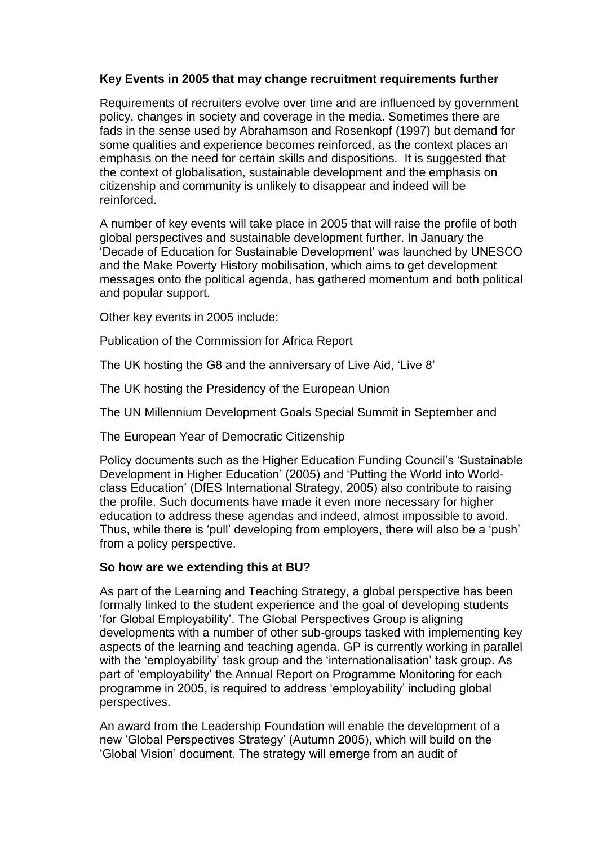# **Key Events in 2005 that may change recruitment requirements further**

Requirements of recruiters evolve over time and are influenced by government policy, changes in society and coverage in the media. Sometimes there are fads in the sense used by Abrahamson and Rosenkopf (1997) but demand for some qualities and experience becomes reinforced, as the context places an emphasis on the need for certain skills and dispositions. It is suggested that the context of globalisation, sustainable development and the emphasis on citizenship and community is unlikely to disappear and indeed will be reinforced.

A number of key events will take place in 2005 that will raise the profile of both global perspectives and sustainable development further. In January the 'Decade of Education for Sustainable Development' was launched by UNESCO and the Make Poverty History mobilisation, which aims to get development messages onto the political agenda, has gathered momentum and both political and popular support.

Other key events in 2005 include:

Publication of the Commission for Africa Report

The UK hosting the G8 and the anniversary of Live Aid, 'Live 8'

The UK hosting the Presidency of the European Union

The UN Millennium Development Goals Special Summit in September and

The European Year of Democratic Citizenship

Policy documents such as the Higher Education Funding Council's 'Sustainable Development in Higher Education' (2005) and 'Putting the World into Worldclass Education' (DfES International Strategy, 2005) also contribute to raising the profile. Such documents have made it even more necessary for higher education to address these agendas and indeed, almost impossible to avoid. Thus, while there is 'pull' developing from employers, there will also be a 'push' from a policy perspective.

## **So how are we extending this at BU?**

As part of the Learning and Teaching Strategy, a global perspective has been formally linked to the student experience and the goal of developing students 'for Global Employability'. The Global Perspectives Group is aligning developments with a number of other sub-groups tasked with implementing key aspects of the learning and teaching agenda. GP is currently working in parallel with the 'employability' task group and the 'internationalisation' task group. As part of 'employability' the Annual Report on Programme Monitoring for each programme in 2005, is required to address 'employability' including global perspectives.

An award from the Leadership Foundation will enable the development of a new 'Global Perspectives Strategy' (Autumn 2005), which will build on the 'Global Vision' document. The strategy will emerge from an audit of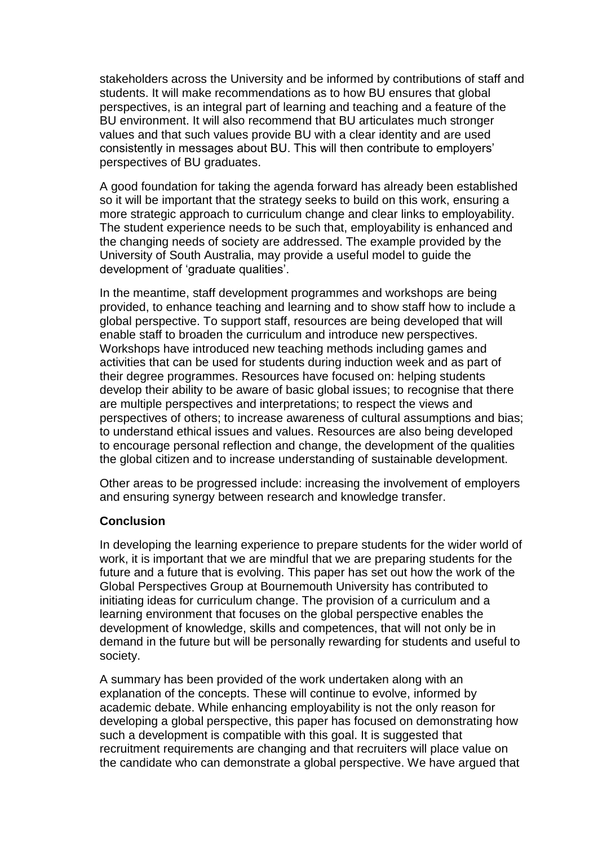stakeholders across the University and be informed by contributions of staff and students. It will make recommendations as to how BU ensures that global perspectives, is an integral part of learning and teaching and a feature of the BU environment. It will also recommend that BU articulates much stronger values and that such values provide BU with a clear identity and are used consistently in messages about BU. This will then contribute to employers' perspectives of BU graduates.

A good foundation for taking the agenda forward has already been established so it will be important that the strategy seeks to build on this work, ensuring a more strategic approach to curriculum change and clear links to employability. The student experience needs to be such that, employability is enhanced and the changing needs of society are addressed. The example provided by the University of South Australia, may provide a useful model to guide the development of 'graduate qualities'.

In the meantime, staff development programmes and workshops are being provided, to enhance teaching and learning and to show staff how to include a global perspective. To support staff, resources are being developed that will enable staff to broaden the curriculum and introduce new perspectives. Workshops have introduced new teaching methods including games and activities that can be used for students during induction week and as part of their degree programmes. Resources have focused on: helping students develop their ability to be aware of basic global issues; to recognise that there are multiple perspectives and interpretations; to respect the views and perspectives of others; to increase awareness of cultural assumptions and bias; to understand ethical issues and values. Resources are also being developed to encourage personal reflection and change, the development of the qualities the global citizen and to increase understanding of sustainable development.

Other areas to be progressed include: increasing the involvement of employers and ensuring synergy between research and knowledge transfer.

## **Conclusion**

In developing the learning experience to prepare students for the wider world of work, it is important that we are mindful that we are preparing students for the future and a future that is evolving. This paper has set out how the work of the Global Perspectives Group at Bournemouth University has contributed to initiating ideas for curriculum change. The provision of a curriculum and a learning environment that focuses on the global perspective enables the development of knowledge, skills and competences, that will not only be in demand in the future but will be personally rewarding for students and useful to society.

A summary has been provided of the work undertaken along with an explanation of the concepts. These will continue to evolve, informed by academic debate. While enhancing employability is not the only reason for developing a global perspective, this paper has focused on demonstrating how such a development is compatible with this goal. It is suggested that recruitment requirements are changing and that recruiters will place value on the candidate who can demonstrate a global perspective. We have argued that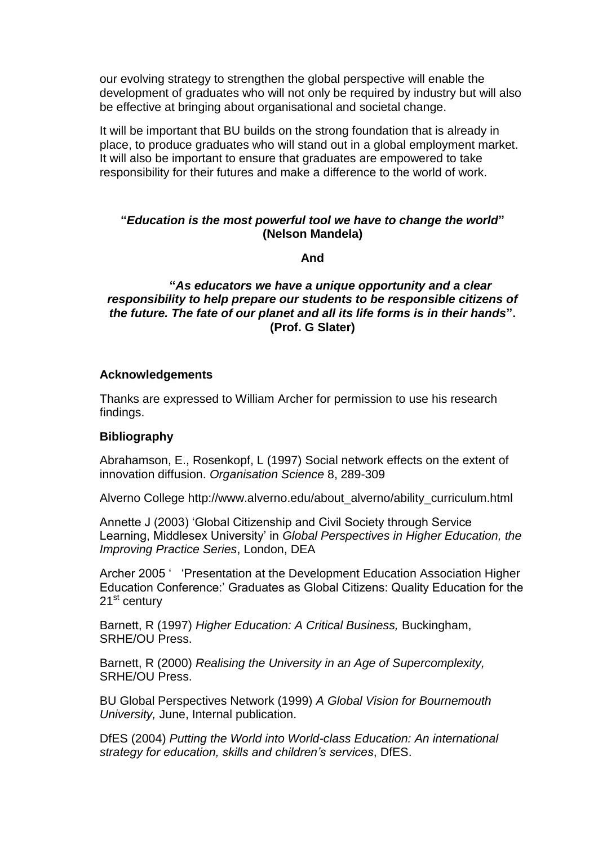our evolving strategy to strengthen the global perspective will enable the development of graduates who will not only be required by industry but will also be effective at bringing about organisational and societal change.

It will be important that BU builds on the strong foundation that is already in place, to produce graduates who will stand out in a global employment market. It will also be important to ensure that graduates are empowered to take responsibility for their futures and make a difference to the world of work.

## **"***Education is the most powerful tool we have to change the world***" (Nelson Mandela)**

**And**

**"***As educators we have a unique opportunity and a clear responsibility to help prepare our students to be responsible citizens of the future. The fate of our planet and all its life forms is in their hands***". (Prof. G Slater)**

### **Acknowledgements**

Thanks are expressed to William Archer for permission to use his research findings.

### **Bibliography**

Abrahamson, E., Rosenkopf, L (1997) Social network effects on the extent of innovation diffusion. *Organisation Science* 8, 289-309

Alverno College http://www.alverno.edu/about\_alverno/ability\_curriculum.html

Annette J (2003) 'Global Citizenship and Civil Society through Service Learning, Middlesex University' in *Global Perspectives in Higher Education, the Improving Practice Series*, London, DEA

Archer 2005 ' 'Presentation at the Development Education Association Higher Education Conference:' Graduates as Global Citizens: Quality Education for the 21<sup>st</sup> century

Barnett, R (1997) *Higher Education: A Critical Business,* Buckingham, SRHE/OU Press.

Barnett, R (2000) *Realising the University in an Age of Supercomplexity,*  SRHE/OU Press.

BU Global Perspectives Network (1999) *A Global Vision for Bournemouth University,* June, Internal publication.

DfES (2004) *Putting the World into World-class Education: An international strategy for education, skills and children's services*, DfES.